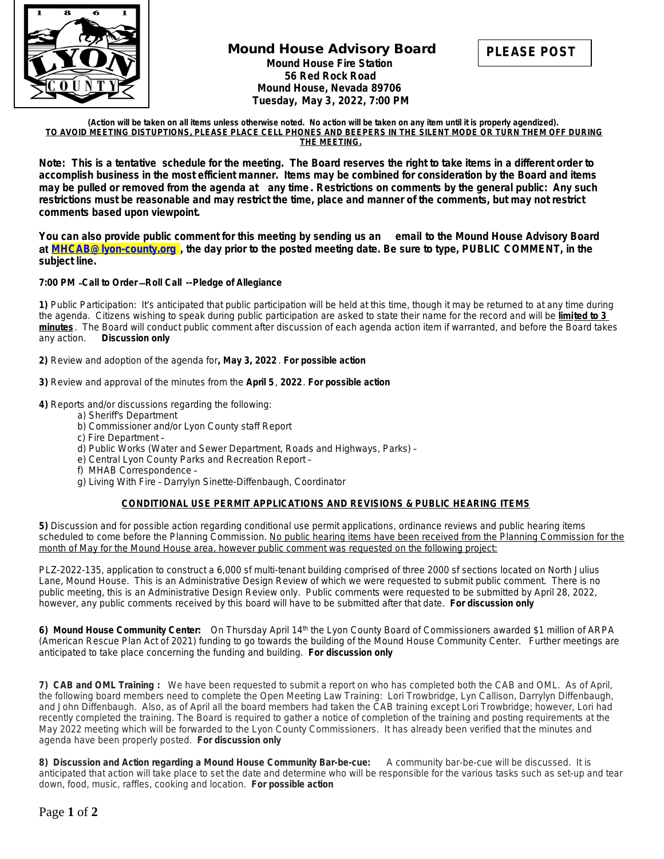

## **Mound House Advisory Board Mound House Fire Station 56 Red Rock Road Mound House, Nevada 89706 Tuesday, May 3, 2022, 7:00 PM**



**(Action will be taken on all items unless otherwise noted. No action will be taken on any item until it is properly agendized). TO AVOID MEETING DISTUPTIONS, PLEASE PLACE CELL PHONES AND BEEPERS IN THE SILENT MODE OR TURN THEM OFF DURING THE MEETING.**

**Note: This is a tentative schedule for the meeting. The Board reserves the right to take items in a different order to accomplish business in the most efficient manner. Items may be combined for consideration by the Board and items may be pulled or removed from the agenda at any time. Restrictions on comments by the general public: Any such restrictions must be reasonable and may restrict the time, place and manner of the comments, but may not restrict comments based upon viewpoint.** 

**You can also provide public comment for this meeting by sending us an email to the Mound House Advisory Board**  at **[MHCAB@lyon-county.org](mailto:MHCAB@lyon-county.org) , the day prior to the posted meeting date. Be sure to type, PUBLIC COMMENT, in the subject line.**

## **7:00 PM** –**Call to Order** —**Roll Call --Pledge of Allegiance**

**1)** Public Participation: It's anticipated that public participation will be held at this time, though it may be returned to at any time during the agenda. Citizens wishing to speak during public participation are asked to state their name for the record and will be **limited to 3 minutes** . The Board will conduct public comment after discussion of each agenda action item if warranted, and before the Board takes any action. *Discussion only*

**2)** Review and adoption of the agenda for**, May 3, 2022** . *For possible action*

**3)** Review and approval of the minutes from the **April 5**, **2022**. *For possible action*

**4)** Reports and/or discussions regarding the following:

- a) Sheriff's Department
- b) Commissioner and/or Lyon County staff Report
- c) Fire Department –
- d) Public Works (Water and Sewer Department, Roads and Highways, Parks) –
- e) Central Lyon County Parks and Recreation Report –
- f) MHAB Correspondence –
- g) Living With Fire Darrylyn Sinette-Diffenbaugh, Coordinator

## **CONDITIONAL USE PERMIT APPLICATIONS AND REVISIONS & PUBLIC HEARING ITEMS**

**5)** Discussion and for possible action regarding conditional use permit applications, ordinance reviews and public hearing items scheduled to come before the Planning Commission. No public hearing items have been received from the Planning Commission for the month of May for the Mound House area, however public comment was requested on the following project:

PLZ-2022-135, application to construct a 6,000 sf multi-tenant building comprised of three 2000 sf sections located on North Julius Lane, Mound House. This is an Administrative Design Review of which we were requested to submit public comment. There is no public meeting, this is an Administrative Design Review only. Public comments were requested to be submitted by April 28, 2022, however, any public comments received by this board will have to be submitted after that date. *For discussion only*

**6) Mound House Community Center:** On Thursday April 14th the Lyon County Board of Commissioners awarded \$1 million of ARPA (American Rescue Plan Act of 2021) funding to go towards the building of the Mound House Community Center. Further meetings are anticipated to take place concerning the funding and building. *For discussion only*

**7) CAB and OML Training :** We have been requested to submit a report on who has completed both the CAB and OML. As of April, the following board members need to complete the Open Meeting Law Training: Lori Trowbridge, Lyn Callison, Darrylyn Diffenbaugh, and John Diffenbaugh. Also, as of April all the board members had taken the CAB training except Lori Trowbridge; however, Lori had recently completed the training. The Board is required to gather a notice of completion of the training and posting requirements at the May 2022 meeting which will be forwarded to the Lyon County Commissioners. It has already been verified that the minutes and agenda have been properly posted. *For discussion only*

**8) Discussion and Action regarding a Mound House Community Bar-be-cue:** A community bar-be-cue will be discussed. It is anticipated that action will take place to set the date and determine who will be responsible for the various tasks such as set-up and tear down, food, music, raffles, cooking and location. *For possible action*